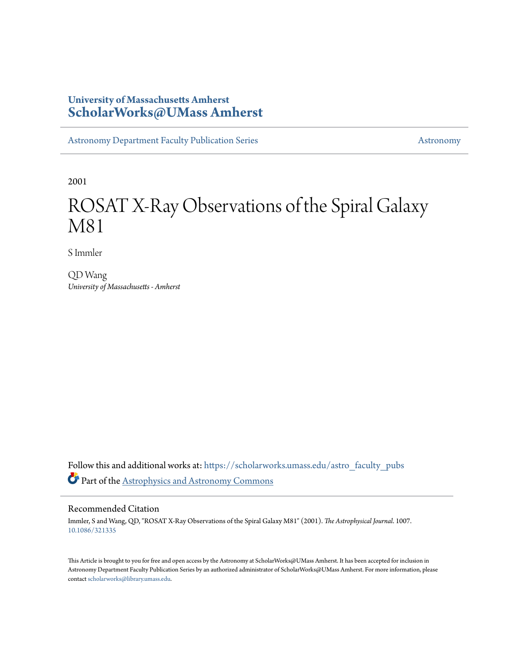# **University of Massachusetts Amherst [ScholarWorks@UMass Amherst](https://scholarworks.umass.edu?utm_source=scholarworks.umass.edu%2Fastro_faculty_pubs%2F1007&utm_medium=PDF&utm_campaign=PDFCoverPages)**

[Astronomy Department Faculty Publication Series](https://scholarworks.umass.edu/astro_faculty_pubs?utm_source=scholarworks.umass.edu%2Fastro_faculty_pubs%2F1007&utm_medium=PDF&utm_campaign=PDFCoverPages) [Astronomy](https://scholarworks.umass.edu/astro?utm_source=scholarworks.umass.edu%2Fastro_faculty_pubs%2F1007&utm_medium=PDF&utm_campaign=PDFCoverPages)

2001

# ROSAT X-Ray Observations of the Spiral Galaxy M81

S Immler

QD Wang *University of Massachusetts - Amherst*

Follow this and additional works at: [https://scholarworks.umass.edu/astro\\_faculty\\_pubs](https://scholarworks.umass.edu/astro_faculty_pubs?utm_source=scholarworks.umass.edu%2Fastro_faculty_pubs%2F1007&utm_medium=PDF&utm_campaign=PDFCoverPages) Part of the [Astrophysics and Astronomy Commons](http://network.bepress.com/hgg/discipline/123?utm_source=scholarworks.umass.edu%2Fastro_faculty_pubs%2F1007&utm_medium=PDF&utm_campaign=PDFCoverPages)

# Recommended Citation

Immler, S and Wang, QD, "ROSAT X-Ray Observations of the Spiral Galaxy M81" (2001). *The Astrophysical Journal*. 1007. <10.1086/321335>

This Article is brought to you for free and open access by the Astronomy at ScholarWorks@UMass Amherst. It has been accepted for inclusion in Astronomy Department Faculty Publication Series by an authorized administrator of ScholarWorks@UMass Amherst. For more information, please contact [scholarworks@library.umass.edu](mailto:scholarworks@library.umass.edu).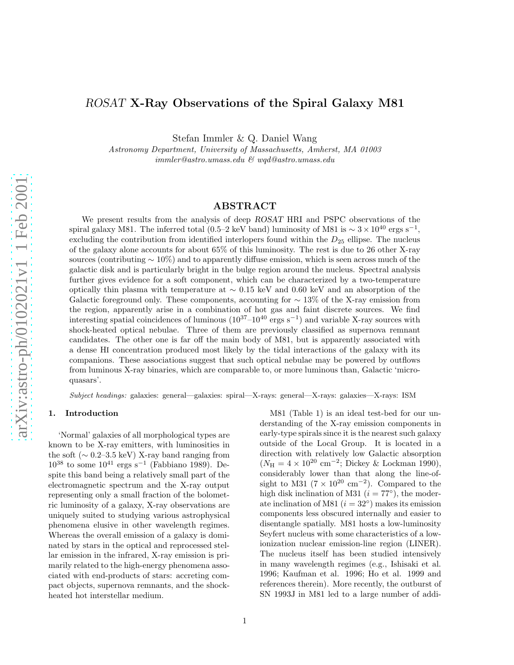# ROSAT X-Ray Observations of the Spiral Galaxy M81

Stefan Immler & Q. Daniel Wang

Astronomy Department, University of Massachusetts, Amherst, MA 01003 immler@astro.umass.edu & wqd@astro.umass.edu

# ABSTRACT

We present results from the analysis of deep ROSAT HRI and PSPC observations of the spiral galaxy M81. The inferred total (0.5–2 keV band) luminosity of M81 is  $\sim 3 \times 10^{40}$  ergs s<sup>-1</sup>, excluding the contribution from identified interlopers found within the  $D_{25}$  ellipse. The nucleus of the galaxy alone accounts for about 65% of this luminosity. The rest is due to 26 other X-ray sources (contributing  $\sim 10\%$ ) and to apparently diffuse emission, which is seen across much of the galactic disk and is particularly bright in the bulge region around the nucleus. Spectral analysis further gives evidence for a soft component, which can be characterized by a two-temperature optically thin plasma with temperature at  $\sim 0.15$  keV and 0.60 keV and an absorption of the Galactic foreground only. These components, accounting for  $\sim$  13% of the X-ray emission from the region, apparently arise in a combination of hot gas and faint discrete sources. We find interesting spatial coincidences of luminous  $(10^{37}-10^{40} \text{ ergs s}^{-1})$  and variable X-ray sources with shock-heated optical nebulae. Three of them are previously classified as supernova remnant candidates. The other one is far off the main body of M81, but is apparently associated with a dense H I concentration produced most likely by the tidal interactions of the galaxy with its companions. These associations suggest that such optical nebulae may be powered by outflows from luminous X-ray binaries, which are comparable to, or more luminous than, Galactic 'microquasars'.

Subject headings: galaxies: general—galaxies: spiral—X-rays: general—X-rays: galaxies—X-rays: ISM

#### 1. Introduction

'Normal' galaxies of all morphological types are known to be X-ray emitters, with luminosities in the soft  $(\sim 0.2-3.5 \text{ keV})$  X-ray band ranging from  $10^{38}$  to some  $10^{41}$  ergs s<sup>-1</sup> (Fabbiano 1989). Despite this band being a relatively small part of the electromagnetic spectrum and the X-ray output representing only a small fraction of the bolometric luminosity of a galaxy, X-ray observations are uniquely suited to studying various astrophysical phenomena elusive in other wavelength regimes. Whereas the overall emission of a galaxy is dominated by stars in the optical and reprocessed stellar emission in the infrared, X-ray emission is primarily related to the high-energy phenomena associated with end-products of stars: accreting compact objects, supernova remnants, and the shockheated hot interstellar medium.

M81 (Table 1) is an ideal test-bed for our understanding of the X-ray emission components in early-type spirals since it is the nearest such galaxy outside of the Local Group. It is located in a direction with relatively low Galactic absorption  $(N_{\rm H} = 4 \times 10^{20} \text{ cm}^{-2})$ ; Dickey & Lockman 1990), considerably lower than that along the line-ofsight to M31 ( $7 \times 10^{20}$  cm<sup>-2</sup>). Compared to the high disk inclination of M31  $(i = 77^{\circ})$ , the moderate inclination of M81  $(i = 32°)$  makes its emission components less obscured internally and easier to disentangle spatially. M81 hosts a low-luminosity Seyfert nucleus with some characteristics of a lowionization nuclear emission-line region (LINER). The nucleus itself has been studied intensively in many wavelength regimes (e.g., Ishisaki et al. 1996; Kaufman et al. 1996; Ho et al. 1999 and references therein). More recently, the outburst of SN 1993J in M81 led to a large number of addi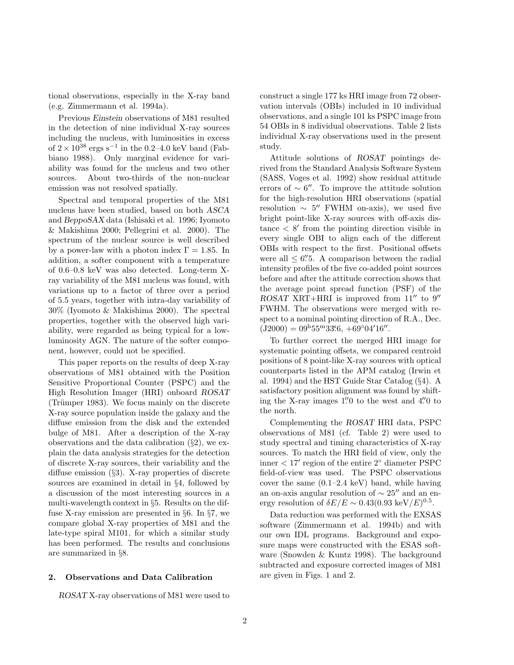tional observations, especially in the X-ray band (e.g. Zimmermann et al. 1994a).

Previous Einstein observations of M81 resulted in the detection of nine individual X-ray sources including the nucleus, with luminosities in excess of  $2 \times 10^{38}$  ergs s<sup>-1</sup> in the 0.2–4.0 keV band (Fabbiano 1988). Only marginal evidence for variability was found for the nucleus and two other sources. About two-thirds of the non-nuclear emission was not resolved spatially.

Spectral and temporal properties of the M81 nucleus have been studied, based on both ASCA and BeppoSAX data (Ishisaki et al. 1996; Iyomoto & Makishima 2000; Pellegrini et al. 2000). The spectrum of the nuclear source is well described by a power-law with a photon index  $\Gamma = 1.85$ . In addition, a softer component with a temperature of 0.6–0.8 keV was also detected. Long-term Xray variability of the M81 nucleus was found, with variations up to a factor of three over a period of 5.5 years, together with intra-day variability of 30% (Iyomoto & Makishima 2000). The spectral properties, together with the observed high variability, were regarded as being typical for a lowluminosity AGN. The nature of the softer component, however, could not be specified.

This paper reports on the results of deep X-ray observations of M81 obtained with the Position Sensitive Proportional Counter (PSPC) and the High Resolution Imager (HRI) onboard ROSAT (Trümper 1983). We focus mainly on the discrete X-ray source population inside the galaxy and the diffuse emission from the disk and the extended bulge of M81. After a description of the X-ray observations and the data calibration  $(\S2)$ , we explain the data analysis strategies for the detection of discrete X-ray sources, their variability and the diffuse emission (§3). X-ray properties of discrete sources are examined in detail in §4, followed by a discussion of the most interesting sources in a multi-wavelength context in §5. Results on the diffuse X-ray emission are presented in §6. In §7, we compare global X-ray properties of M81 and the late-type spiral M101, for which a similar study has been performed. The results and conclusions are summarized in §8.

#### 2. Observations and Data Calibration

ROSAT X-ray observations of M81 were used to

construct a single 177 ks HRI image from 72 observation intervals (OBIs) included in 10 individual observations, and a single 101 ks PSPC image from 54 OBIs in 8 individual observations. Table 2 lists individual X-ray observations used in the present study.

Attitude solutions of ROSAT pointings derived from the Standard Analysis Software System (SASS, Voges et al. 1992) show residual attitude errors of  $\sim 6''$ . To improve the attitude solution for the high-resolution HRI observations (spatial resolution  $\sim 5''$  FWHM on-axis), we used five bright point-like X-ray sources with off-axis dis $tance < 8'$  from the pointing direction visible in every single OBI to align each of the different OBIs with respect to the first. Positional offsets were all  $\leq 6\rlap{.}''$ . A comparison between the radial intensity profiles of the five co-added point sources before and after the attitude correction shows that the average point spread function (PSF) of the ROSAT XRT+HRI is improved from 11" to 9" FWHM. The observations were merged with respect to a nominal pointing direction of R.A., Dec.  $(J2000) = 09<sup>h</sup>55<sup>m</sup>33<sup>s</sup>6, +69°04'16''.$ 

To further correct the merged HRI image for systematic pointing offsets, we compared centroid positions of 8 point-like X-ray sources with optical counterparts listed in the APM catalog (Irwin et al. 1994) and the HST Guide Star Catalog (§4). A satisfactory position alignment was found by shifting the X-ray images 1." 0 to the west and 4." 0 to the north.

Complementing the ROSAT HRI data, PSPC observations of M81 (cf. Table 2) were used to study spectral and timing characteristics of X-ray sources. To match the HRI field of view, only the inner < 17′ region of the entire 2◦ diameter PSPC field-of-view was used. The PSPC observations cover the same (0.1–2.4 keV) band, while having an on-axis angular resolution of  $\sim 25''$  and an energy resolution of  $\delta E/E \sim 0.43(0.93 \text{ keV}/E)^{0.5}$ .

Data reduction was performed with the EXSAS software (Zimmermann et al. 1994b) and with our own IDL programs. Background and exposure maps were constructed with the ESAS software (Snowden & Kuntz 1998). The background subtracted and exposure corrected images of M81 are given in Figs. 1 and 2.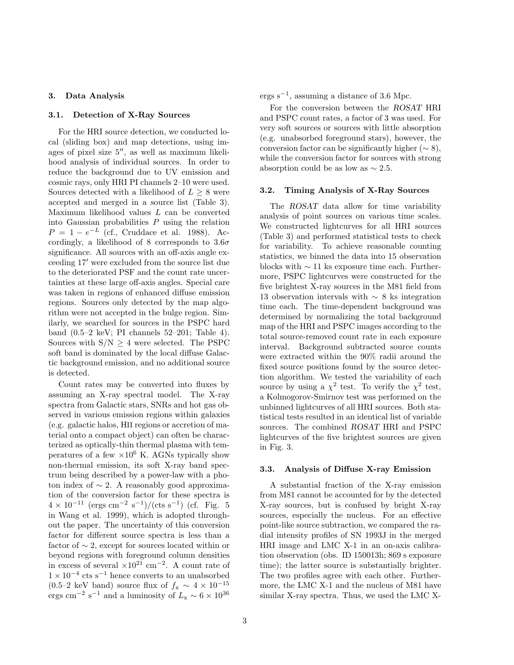# 3. Data Analysis

#### 3.1. Detection of X-Ray Sources

For the HRI source detection, we conducted local (sliding box) and map detections, using images of pixel size 5′′, as well as maximum likelihood analysis of individual sources. In order to reduce the background due to UV emission and cosmic rays, only HRI PI channels 2–10 were used. Sources detected with a likelihood of  $L \geq 8$  were accepted and merged in a source list (Table 3). Maximum likelihood values L can be converted into Gaussian probabilities  $P$  using the relation  $P = 1 - e^{-L}$  (cf., Cruddace et al. 1988). Accordingly, a likelihood of 8 corresponds to  $3.6\sigma$ significance. All sources with an off-axis angle exceeding 17′ were excluded from the source list due to the deteriorated PSF and the count rate uncertainties at these large off-axis angles. Special care was taken in regions of enhanced diffuse emission regions. Sources only detected by the map algorithm were not accepted in the bulge region. Similarly, we searched for sources in the PSPC hard band (0.5–2 keV; PI channels 52–201; Table 4). Sources with  $S/N \geq 4$  were selected. The PSPC soft band is dominated by the local diffuse Galactic background emission, and no additional source is detected.

Count rates may be converted into fluxes by assuming an X-ray spectral model. The X-ray spectra from Galactic stars, SNRs and hot gas observed in various emission regions within galaxies (e.g. galactic halos, HII regions or accretion of material onto a compact object) can often be characterized as optically-thin thermal plasma with temperatures of a few  $\times 10^6$  K. AGNs typically show non-thermal emission, its soft X-ray band spectrum being described by a power-law with a photon index of  $\sim$  2. A reasonably good approximation of the conversion factor for these spectra is  $4 \times 10^{-11}$  (ergs cm<sup>-2</sup> s<sup>-1</sup>)/(cts s<sup>-1</sup>) (cf. Fig. 5 in Wang et al. 1999), which is adopted throughout the paper. The uncertainty of this conversion factor for different source spectra is less than a factor of  $\sim$  2, except for sources located within or beyond regions with foreground column densities in excess of several  $\times 10^{21}$  cm<sup>-2</sup>. A count rate of  $1 \times 10^{-4}$  cts s<sup>-1</sup> hence converts to an unabsorbed (0.5–2 keV band) source flux of  $f_x \sim 4 \times 10^{-15}$ ergs cm<sup>-2</sup> s<sup>-1</sup> and a luminosity of  $L_x \sim 6 \times 10^{36}$ 

ergs s<sup>−</sup><sup>1</sup> , assuming a distance of 3.6 Mpc.

For the conversion between the ROSAT HRI and PSPC count rates, a factor of 3 was used. For very soft sources or sources with little absorption (e.g. unabsorbed foreground stars), however, the conversion factor can be significantly higher  $(\sim 8)$ , while the conversion factor for sources with strong absorption could be as low as  $\sim 2.5$ .

#### 3.2. Timing Analysis of X-Ray Sources

The ROSAT data allow for time variability analysis of point sources on various time scales. We constructed lightcurves for all HRI sources (Table 3) and performed statistical tests to check for variability. To achieve reasonable counting statistics, we binned the data into 15 observation blocks with  $\sim$  11 ks exposure time each. Furthermore, PSPC lightcurves were constructed for the five brightest X-ray sources in the M81 field from 13 observation intervals with  $\sim 8$  ks integration time each. The time-dependent background was determined by normalizing the total background map of the HRI and PSPC images according to the total source-removed count rate in each exposure interval. Background subtracted source counts were extracted within the 90% radii around the fixed source positions found by the source detection algorithm. We tested the variability of each source by using a  $\chi^2$  test. To verify the  $\chi^2$  test, a Kolmogorov-Smirnov test was performed on the unbinned lightcurves of all HRI sources. Both statistical tests resulted in an identical list of variable sources. The combined ROSAT HRI and PSPC lightcurves of the five brightest sources are given in Fig. 3.

#### 3.3. Analysis of Diffuse X-ray Emission

A substantial fraction of the X-ray emission from M81 cannot be accounted for by the detected X-ray sources, but is confused by bright X-ray sources, especially the nucleus. For an effective point-like source subtraction, we compared the radial intensity profiles of SN 1993J in the merged HRI image and LMC X-1 in an on-axis calibration observation (obs. ID 150013h; 869 s exposure time); the latter source is substantially brighter. The two profiles agree with each other. Furthermore, the LMC X-1 and the nucleus of M81 have similar X-ray spectra. Thus, we used the LMC X-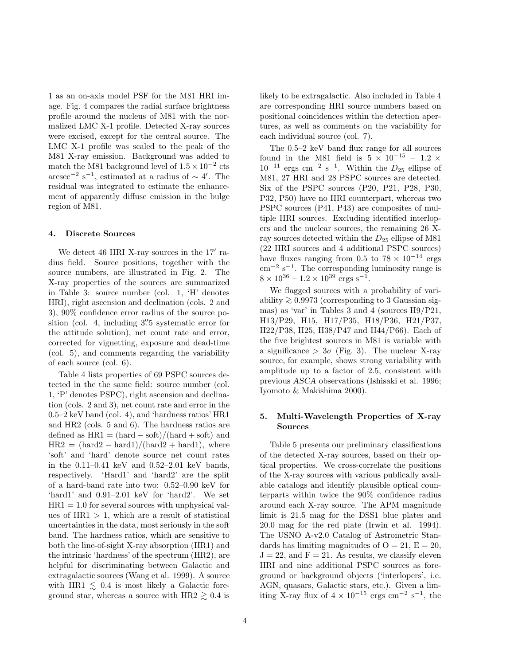1 as an on-axis model PSF for the M81 HRI image. Fig. 4 compares the radial surface brightness profile around the nucleus of M81 with the normalized LMC X-1 profile. Detected X-ray sources were excised, except for the central source. The LMC X-1 profile was scaled to the peak of the M81 X-ray emission. Background was added to match the M81 background level of  $1.5 \times 10^{-2}$  cts  $\arcsc^{-2}$  s<sup>-1</sup>, estimated at a radius of ~ 4'. The residual was integrated to estimate the enhancement of apparently diffuse emission in the bulge region of M81.

#### 4. Discrete Sources

We detect 46 HRI X-ray sources in the 17' radius field. Source positions, together with the source numbers, are illustrated in Fig. 2. The X-ray properties of the sources are summarized in Table 3: source number (col. 1, 'H' denotes HRI), right ascension and declination (cols. 2 and 3), 90% confidence error radius of the source position (col. 4, including 3" 5 systematic error for the attitude solution), net count rate and error, corrected for vignetting, exposure and dead-time (col. 5), and comments regarding the variability of each source (col. 6).

Table 4 lists properties of 69 PSPC sources detected in the the same field: source number (col. 1, 'P' denotes PSPC), right ascension and declination (cols. 2 and 3), net count rate and error in the 0.5–2 keV band (col. 4), and 'hardness ratios' HR1 and HR2 (cols. 5 and 6). The hardness ratios are defined as  $HR1 = (hard - soft)/(hard + soft)$  and  $HR2 = (hard2 - hard1)/(hard2 + hard1)$ , where 'soft' and 'hard' denote source net count rates in the 0.11–0.41 keV and 0.52–2.01 keV bands, respectively. 'Hard1' and 'hard2' are the split of a hard-band rate into two: 0.52–0.90 keV for 'hard1' and 0.91–2.01 keV for 'hard2'. We set  $HR1 = 1.0$  for several sources with unphysical values of  $HR1 > 1$ , which are a result of statistical uncertainties in the data, most seriously in the soft band. The hardness ratios, which are sensitive to both the line-of-sight X-ray absorption (HR1) and the intrinsic 'hardness' of the spectrum (HR2), are helpful for discriminating between Galactic and extragalactic sources (Wang et al. 1999). A source with HR1  $\leq$  0.4 is most likely a Galactic foreground star, whereas a source with HR2  $\geq$  0.4 is

likely to be extragalactic. Also included in Table 4 are corresponding HRI source numbers based on positional coincidences within the detection apertures, as well as comments on the variability for each individual source (col. 7).

The 0.5–2 keV band flux range for all sources found in the M81 field is  $5 \times 10^{-15} - 1.2 \times$  $10^{-11}$  ergs cm<sup>-2</sup> s<sup>-1</sup>. Within the  $D_{25}$  ellipse of M81, 27 HRI and 28 PSPC sources are detected. Six of the PSPC sources (P20, P21, P28, P30, P32, P50) have no HRI counterpart, whereas two PSPC sources (P41, P43) are composites of multiple HRI sources. Excluding identified interlopers and the nuclear sources, the remaining 26 Xray sources detected within the  $D_{25}$  ellipse of M81 (22 HRI sources and 4 additional PSPC sources) have fluxes ranging from 0.5 to  $78 \times 10^{-14}$  ergs cm−<sup>2</sup> s −1 . The corresponding luminosity range is  $8 \times 10^{36} - 1.2 \times 10^{39}$  ergs s<sup>-1</sup>.

We flagged sources with a probability of variability  $\geq 0.9973$  (corresponding to 3 Gaussian sigmas) as 'var' in Tables 3 and 4 (sources H9/P21, H13/P29, H15, H17/P35, H18/P36, H21/P37, H22/P38, H25, H38/P47 and H44/P66). Each of the five brightest sources in M81 is variable with a significance  $> 3\sigma$  (Fig. 3). The nuclear X-ray source, for example, shows strong variability with amplitude up to a factor of 2.5, consistent with previous ASCA observations (Ishisaki et al. 1996; Iyomoto & Makishima 2000).

# 5. Multi-Wavelength Properties of X-ray Sources

Table 5 presents our preliminary classifications of the detected X-ray sources, based on their optical properties. We cross-correlate the positions of the X-ray sources with various publically available catalogs and identify plausible optical counterparts within twice the 90% confidence radius around each X-ray source. The APM magnitude limit is 21.5 mag for the DSS1 blue plates and 20.0 mag for the red plate (Irwin et al. 1994). The USNO A-v2.0 Catalog of Astrometric Standards has limiting magnitudes of  $O = 21$ ,  $E = 20$ ,  $J = 22$ , and  $F = 21$ . As results, we classify eleven HRI and nine additional PSPC sources as foreground or background objects ('interlopers', i.e. AGN, quasars, Galactic stars, etc.). Given a limiting X-ray flux of  $4 \times 10^{-15}$  ergs cm<sup>-2</sup> s<sup>-1</sup>, the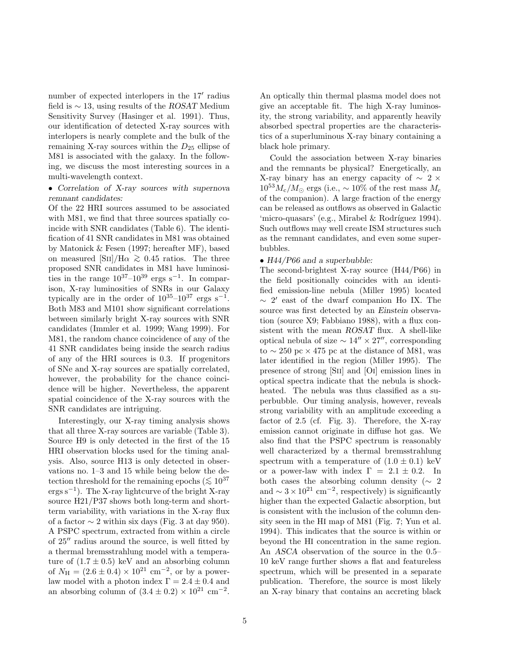number of expected interlopers in the 17′ radius field is  $\sim$  13, using results of the ROSAT Medium Sensitivity Survey (Hasinger et al. 1991). Thus, our identification of detected X-ray sources with interlopers is nearly complete and the bulk of the remaining X-ray sources within the  $D_{25}$  ellipse of M81 is associated with the galaxy. In the following, we discuss the most interesting sources in a multi-wavelength context.

# • Correlation of X-ray sources with supernova remnant candidates:

Of the 22 HRI sources assumed to be associated with M81, we find that three sources spatially coincide with SNR candidates (Table 6). The identification of 41 SNR candidates in M81 was obtained by Matonick & Fesen (1997; hereafter MF), based on measured [Sii]/H $\alpha \gtrsim 0.45$  ratios. The three proposed SNR candidates in M81 have luminosities in the range  $10^{37}-10^{39}$  ergs s<sup>-1</sup>. In comparison, X-ray luminosities of SNRs in our Galaxy typically are in the order of  $10^{35}$ - $10^{37}$  ergs s<sup>-1</sup>. Both M83 and M101 show significant correlations between similarly bright X-ray sources with SNR candidates (Immler et al. 1999; Wang 1999). For M81, the random chance coincidence of any of the 41 SNR candidates being inside the search radius of any of the HRI sources is 0.3. If progenitors of SNe and X-ray sources are spatially correlated, however, the probability for the chance coincidence will be higher. Nevertheless, the apparent spatial coincidence of the X-ray sources with the SNR candidates are intriguing.

Interestingly, our X-ray timing analysis shows that all three X-ray sources are variable (Table 3). Source H9 is only detected in the first of the 15 HRI observation blocks used for the timing analysis. Also, source H13 is only detected in observations no. 1–3 and 15 while being below the detection threshold for the remaining epochs ( $\lesssim 10^{37}$ ) ergs s<sup>−</sup><sup>1</sup> ). The X-ray lightcurve of the bright X-ray source H21/P37 shows both long-term and shortterm variability, with variations in the X-ray flux of a factor  $\sim$  2 within six days (Fig. 3 at day 950). A PSPC spectrum, extracted from within a circle of 25′′ radius around the source, is well fitted by a thermal bremsstrahlung model with a temperature of  $(1.7 \pm 0.5)$  keV and an absorbing column of  $N_{\rm H} = (2.6 \pm 0.4) \times 10^{21}$  cm<sup>-2</sup>, or by a powerlaw model with a photon index  $\Gamma = 2.4 \pm 0.4$  and an absorbing column of  $(3.4 \pm 0.2) \times 10^{21}$  cm<sup>-2</sup>.

An optically thin thermal plasma model does not give an acceptable fit. The high X-ray luminosity, the strong variability, and apparently heavily absorbed spectral properties are the characteristics of a superluminous X-ray binary containing a black hole primary.

Could the association between X-ray binaries and the remnants be physical? Energetically, an X-ray binary has an energy capacity of  $\sim 2 \times$  $10^{53} M_{\rm c}/M_{\odot}$  ergs (i.e., ~ 10% of the rest mass  $M_{\rm c}$ of the companion). A large fraction of the energy can be released as outflows as observed in Galactic 'micro-quasars' (e.g., Mirabel & Rodríguez 1994). Such outflows may well create ISM structures such as the remnant candidates, and even some superbubbles.

#### • H44/P66 and a superbubble:

The second-brightest X-ray source (H44/P66) in the field positionally coincides with an identified emission-line nebula (Miller 1995) located ∼ 2 ′ east of the dwarf companion Ho IX. The source was first detected by an Einstein observation (source X9; Fabbiano 1988), with a flux consistent with the mean ROSAT flux. A shell-like optical nebula of size  $\sim 14'' \times 27''$ , corresponding to  $\sim$  250 pc × 475 pc at the distance of M81, was later identified in the region (Miller 1995). The presence of strong [Sii] and [Oi] emission lines in optical spectra indicate that the nebula is shockheated. The nebula was thus classified as a superbubble. Our timing analysis, however, reveals strong variability with an amplitude exceeding a factor of 2.5 (cf. Fig. 3). Therefore, the X-ray emission cannot originate in diffuse hot gas. We also find that the PSPC spectrum is reasonably well characterized by a thermal bremsstrahlung spectrum with a temperature of  $(1.0 \pm 0.1)$  keV or a power-law with index  $\Gamma = 2.1 \pm 0.2$ . In both cases the absorbing column density ( $\sim 2$ and  $\sim 3 \times 10^{21}$  cm<sup>-2</sup>, respectively) is significantly higher than the expected Galactic absorption, but is consistent with the inclusion of the column density seen in the HI map of M81 (Fig. 7; Yun et al. 1994). This indicates that the source is within or beyond the HI concentration in the same region. An ASCA observation of the source in the 0.5– 10 keV range further shows a flat and featureless spectrum, which will be presented in a separate publication. Therefore, the source is most likely an X-ray binary that contains an accreting black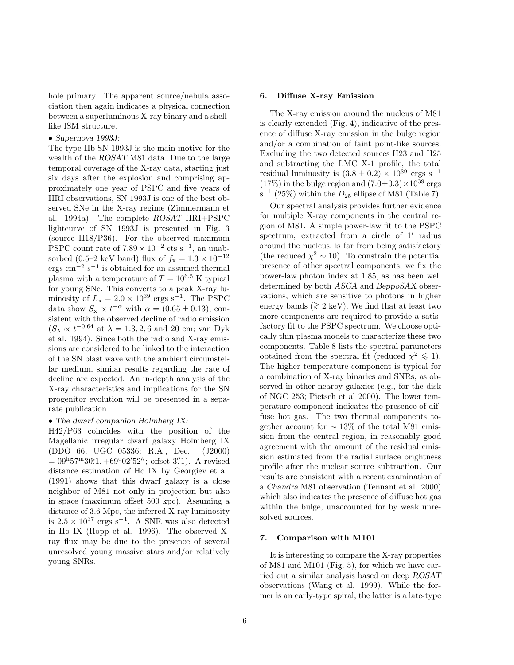hole primary. The apparent source/nebula association then again indicates a physical connection between a superluminous X-ray binary and a shelllike ISM structure.

• Supernova 1993J:

The type IIb SN 1993J is the main motive for the wealth of the ROSAT M81 data. Due to the large temporal coverage of the X-ray data, starting just six days after the explosion and comprising approximately one year of PSPC and five years of HRI observations, SN 1993J is one of the best observed SNe in the X-ray regime (Zimmermann et al. 1994a). The complete ROSAT HRI+PSPC lightcurve of SN 1993J is presented in Fig. 3 (source H18/P36). For the observed maximum PSPC count rate of  $7.89 \times 10^{-2}$  cts s<sup>-1</sup>, an unabsorbed (0.5–2 keV band) flux of  $f_x = 1.3 \times 10^{-12}$ ergs cm<sup>-2</sup> s<sup>-1</sup> is obtained for an assumed thermal plasma with a temperature of  $T = 10^{6.5}$  K typical for young SNe. This converts to a peak X-ray luminosity of  $L_x = 2.0 \times 10^{39}$  ergs s<sup>-1</sup>. The PSPC data show  $S_x \propto t^{-\alpha}$  with  $\alpha = (0.65 \pm 0.13)$ , consistent with the observed decline of radio emission  $(S_{\lambda} \propto t^{-0.64} \text{ at } \lambda = 1.3, 2, 6 \text{ and } 20 \text{ cm}$ ; van Dyk et al. 1994). Since both the radio and X-ray emissions are considered to be linked to the interaction of the SN blast wave with the ambient circumstellar medium, similar results regarding the rate of decline are expected. An in-depth analysis of the X-ray characteristics and implications for the SN progenitor evolution will be presented in a separate publication.

• The dwarf companion Holmberg IX:

H42/P63 coincides with the position of the Magellanic irregular dwarf galaxy Holmberg IX (DDO 66, UGC 05336; R.A., Dec. (J2000)  $= 09<sup>h</sup>57<sup>m</sup>30<sup>s</sup>1, +69°02'52''$ ; offset 3''1). A revised distance estimation of Ho IX by Georgiev et al. (1991) shows that this dwarf galaxy is a close neighbor of M81 not only in projection but also in space (maximum offset 500 kpc). Assuming a distance of 3.6 Mpc, the inferred X-ray luminosity is  $2.5 \times 10^{37}$  ergs s<sup>-1</sup>. A SNR was also detected in Ho IX (Hopp et al. 1996). The observed Xray flux may be due to the presence of several unresolved young massive stars and/or relatively young SNRs.

#### 6. Diffuse X-ray Emission

The X-ray emission around the nucleus of M81 is clearly extended (Fig. 4), indicative of the presence of diffuse X-ray emission in the bulge region and/or a combination of faint point-like sources. Excluding the two detected sources H23 and H25 and subtracting the LMC X-1 profile, the total residual luminosity is  $(3.8 \pm 0.2) \times 10^{39}$  ergs s<sup>-1</sup>  $(17\%)$  in the bulge region and  $(7.0\pm0.3)\times10^{39}$  ergs  $s^{-1}$  (25%) within the  $D_{25}$  ellipse of M81 (Table 7).

Our spectral analysis provides further evidence for multiple X-ray components in the central region of M81. A simple power-law fit to the PSPC spectrum, extracted from a circle of 1' radius around the nucleus, is far from being satisfactory (the reduced  $\chi^2 \sim 10$ ). To constrain the potential presence of other spectral components, we fix the power-law photon index at 1.85, as has been well determined by both ASCA and BeppoSAX observations, which are sensitive to photons in higher energy bands ( $\gtrsim$  2 keV). We find that at least two more components are required to provide a satisfactory fit to the PSPC spectrum. We choose optically thin plasma models to characterize these two components. Table 8 lists the spectral parameters obtained from the spectral fit (reduced  $\chi^2 \lesssim 1$ ). The higher temperature component is typical for a combination of X-ray binaries and SNRs, as observed in other nearby galaxies (e.g., for the disk of NGC 253; Pietsch et al 2000). The lower temperature component indicates the presence of diffuse hot gas. The two thermal components together account for  $\sim 13\%$  of the total M81 emission from the central region, in reasonably good agreement with the amount of the residual emission estimated from the radial surface brightness profile after the nuclear source subtraction. Our results are consistent with a recent examination of a Chandra M81 observation (Tennant et al. 2000) which also indicates the presence of diffuse hot gas within the bulge, unaccounted for by weak unresolved sources.

#### 7. Comparison with M101

It is interesting to compare the X-ray properties of M81 and M101 (Fig. 5), for which we have carried out a similar analysis based on deep ROSAT observations (Wang et al. 1999). While the former is an early-type spiral, the latter is a late-type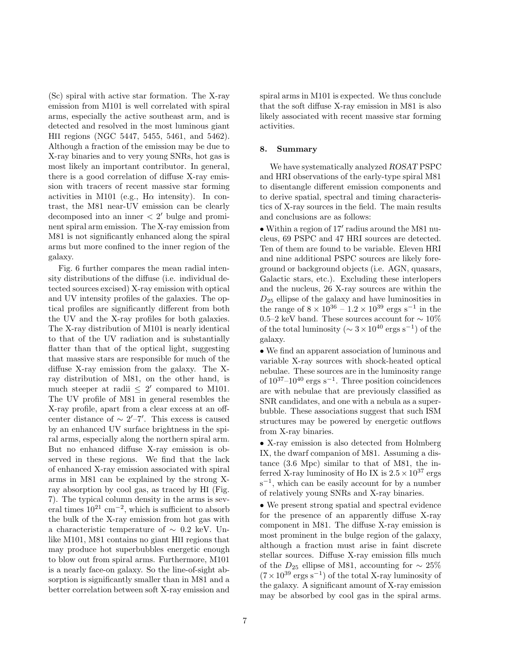(Sc) spiral with active star formation. The X-ray emission from M101 is well correlated with spiral arms, especially the active southeast arm, and is detected and resolved in the most luminous giant HII regions (NGC 5447, 5455, 5461, and 5462). Although a fraction of the emission may be due to X-ray binaries and to very young SNRs, hot gas is most likely an important contributor. In general, there is a good correlation of diffuse X-ray emission with tracers of recent massive star forming activities in M101 (e.g.,  $H\alpha$  intensity). In contrast, the M81 near-UV emission can be clearly decomposed into an inner < 2 ′ bulge and prominent spiral arm emission. The X-ray emission from M81 is not significantly enhanced along the spiral arms but more confined to the inner region of the galaxy.

Fig. 6 further compares the mean radial intensity distributions of the diffuse (i.e. individual detected sources excised) X-ray emission with optical and UV intensity profiles of the galaxies. The optical profiles are significantly different from both the UV and the X-ray profiles for both galaxies. The X-ray distribution of M101 is nearly identical to that of the UV radiation and is substantially flatter than that of the optical light, suggesting that massive stars are responsible for much of the diffuse X-ray emission from the galaxy. The Xray distribution of M81, on the other hand, is much steeper at radii  $\leq 2'$  compared to M101. The UV profile of M81 in general resembles the X-ray profile, apart from a clear excess at an offcenter distance of  $\sim$  2′–7′. This excess is caused by an enhanced UV surface brightness in the spiral arms, especially along the northern spiral arm. But no enhanced diffuse X-ray emission is observed in these regions. We find that the lack of enhanced X-ray emission associated with spiral arms in M81 can be explained by the strong Xray absorption by cool gas, as traced by HI (Fig. 7). The typical column density in the arms is several times  $10^{21}$  cm<sup>-2</sup>, which is sufficient to absorb the bulk of the X-ray emission from hot gas with a characteristic temperature of ∼ 0.2 keV. Unlike M101, M81 contains no giant HII regions that may produce hot superbubbles energetic enough to blow out from spiral arms. Furthermore, M101 is a nearly face-on galaxy. So the line-of-sight absorption is significantly smaller than in M81 and a better correlation between soft X-ray emission and

spiral arms in M101 is expected. We thus conclude that the soft diffuse X-ray emission in M81 is also likely associated with recent massive star forming activities.

#### 8. Summary

We have systematically analyzed ROSAT PSPC and HRI observations of the early-type spiral M81 to disentangle different emission components and to derive spatial, spectral and timing characteristics of X-ray sources in the field. The main results and conclusions are as follows:

• Within a region of 17′ radius around the M81 nucleus, 69 PSPC and 47 HRI sources are detected. Ten of them are found to be variable. Eleven HRI and nine additional PSPC sources are likely foreground or background objects (i.e. AGN, quasars, Galactic stars, etc.). Excluding these interlopers and the nucleus, 26 X-ray sources are within the  $D_{25}$  ellipse of the galaxy and have luminosities in the range of  $8 \times 10^{36} - 1.2 \times 10^{39}$  ergs s<sup>-1</sup> in the 0.5–2 keV band. These sources account for  $\sim 10\%$ of the total luminosity ( $\sim 3 \times 10^{40}$  ergs s<sup>-1</sup>) of the galaxy.

• We find an apparent association of luminous and variable X-ray sources with shock-heated optical nebulae. These sources are in the luminosity range of  $10^{37}$ – $10^{40}$  ergs s<sup>-1</sup>. Three position coincidences are with nebulae that are previously classified as SNR candidates, and one with a nebula as a superbubble. These associations suggest that such ISM structures may be powered by energetic outflows from X-ray binaries.

• X-ray emission is also detected from Holmberg IX, the dwarf companion of M81. Assuming a distance (3.6 Mpc) similar to that of M81, the inferred X-ray luminosity of Ho IX is  $2.5 \times 10^{37}$  ergs s<sup>-1</sup>, which can be easily account for by a number of relatively young SNRs and X-ray binaries.

• We present strong spatial and spectral evidence for the presence of an apparently diffuse X-ray component in M81. The diffuse X-ray emission is most prominent in the bulge region of the galaxy, although a fraction must arise in faint discrete stellar sources. Diffuse X-ray emission fills much of the  $D_{25}$  ellipse of M81, accounting for  $\sim 25\%$  $(7 \times 10^{39} \text{ ergs s}^{-1})$  of the total X-ray luminosity of the galaxy. A significant amount of X-ray emission may be absorbed by cool gas in the spiral arms.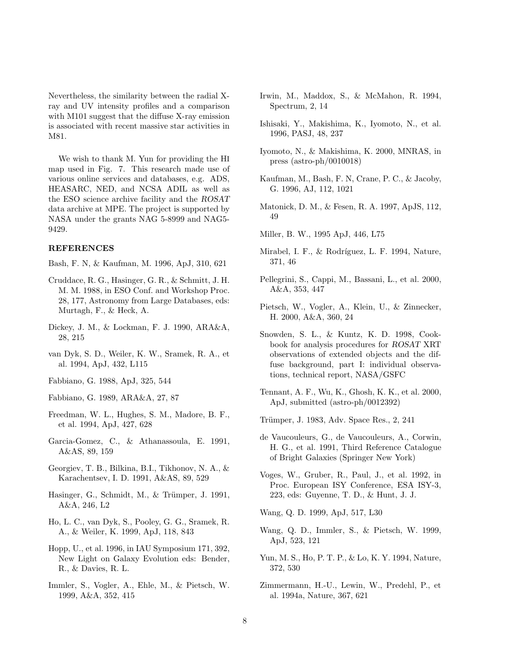Nevertheless, the similarity between the radial Xray and UV intensity profiles and a comparison with M101 suggest that the diffuse X-ray emission is associated with recent massive star activities in M81.

We wish to thank M. Yun for providing the HI map used in Fig. 7. This research made use of various online services and databases, e.g. ADS, HEASARC, NED, and NCSA ADIL as well as the ESO science archive facility and the ROSAT data archive at MPE. The project is supported by NASA under the grants NAG 5-8999 and NAG5- 9429.

# REFERENCES

Bash, F. N, & Kaufman, M. 1996, ApJ, 310, 621

- Cruddace, R. G., Hasinger, G. R., & Schmitt, J. H. M. M. 1988, in ESO Conf. and Workshop Proc. 28, 177, Astronomy from Large Databases, eds: Murtagh, F., & Heck, A.
- Dickey, J. M., & Lockman, F. J. 1990, ARA&A, 28, 215
- van Dyk, S. D., Weiler, K. W., Sramek, R. A., et al. 1994, ApJ, 432, L115
- Fabbiano, G. 1988, ApJ, 325, 544
- Fabbiano, G. 1989, ARA&A, 27, 87
- Freedman, W. L., Hughes, S. M., Madore, B. F., et al. 1994, ApJ, 427, 628
- Garcia-Gomez, C., & Athanassoula, E. 1991, A&AS, 89, 159
- Georgiev, T. B., Bilkina, B.I., Tikhonov, N. A., & Karachentsev, I. D. 1991, A&AS, 89, 529
- Hasinger, G., Schmidt, M., & Trümper, J. 1991, A&A, 246, L2
- Ho, L. C., van Dyk, S., Pooley, G. G., Sramek, R. A., & Weiler, K. 1999, ApJ, 118, 843
- Hopp, U., et al. 1996, in IAU Symposium 171, 392, New Light on Galaxy Evolution eds: Bender, R., & Davies, R. L.
- Immler, S., Vogler, A., Ehle, M., & Pietsch, W. 1999, A&A, 352, 415
- Irwin, M., Maddox, S., & McMahon, R. 1994, Spectrum, 2, 14
- Ishisaki, Y., Makishima, K., Iyomoto, N., et al. 1996, PASJ, 48, 237
- Iyomoto, N., & Makishima, K. 2000, MNRAS, in press (astro-ph/0010018)
- Kaufman, M., Bash, F. N, Crane, P. C., & Jacoby, G. 1996, AJ, 112, 1021
- Matonick, D. M., & Fesen, R. A. 1997, ApJS, 112, 49
- Miller, B. W., 1995 ApJ, 446, L75
- Mirabel, I. F., & Rodríguez, L. F. 1994, Nature, 371, 46
- Pellegrini, S., Cappi, M., Bassani, L., et al. 2000, A&A, 353, 447
- Pietsch, W., Vogler, A., Klein, U., & Zinnecker, H. 2000, A&A, 360, 24
- Snowden, S. L., & Kuntz, K. D. 1998, Cookbook for analysis procedures for ROSAT XRT observations of extended objects and the diffuse background, part I: individual observations, technical report, NASA/GSFC
- Tennant, A. F., Wu, K., Ghosh, K. K., et al. 2000, ApJ, submitted (astro-ph/0012392)
- Trümper, J. 1983, Adv. Space Res., 2, 241
- de Vaucouleurs, G., de Vaucouleurs, A., Corwin, H. G., et al. 1991, Third Reference Catalogue of Bright Galaxies (Springer New York)
- Voges, W., Gruber, R., Paul, J., et al. 1992, in Proc. European ISY Conference, ESA ISY-3, 223, eds: Guyenne, T. D., & Hunt, J. J.

Wang, Q. D. 1999, ApJ, 517, L30

- Wang, Q. D., Immler, S., & Pietsch, W. 1999, ApJ, 523, 121
- Yun, M. S., Ho, P. T. P., & Lo, K. Y. 1994, Nature, 372, 530
- Zimmermann, H.-U., Lewin, W., Predehl, P., et al. 1994a, Nature, 367, 621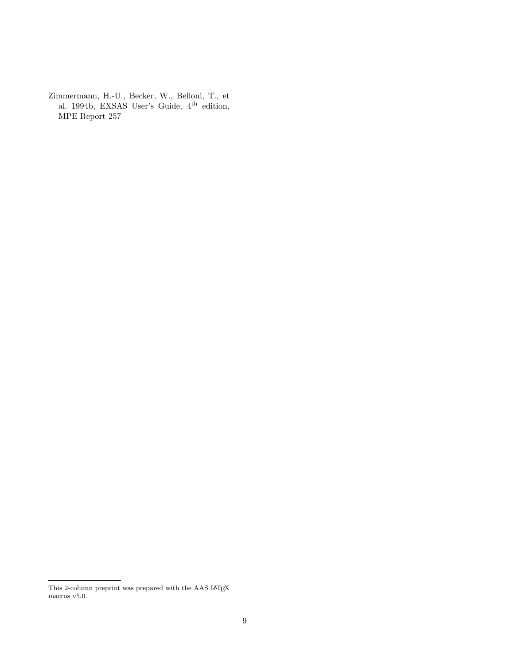Zimmermann, H.-U., Becker, W., Belloni, T., et al. 1994b, EXSAS User's Guide, 4<sup>th</sup> edition, MPE Report 257

This 2-column preprint was prepared with the AAS LATEX macros ${\tt v5.0}.$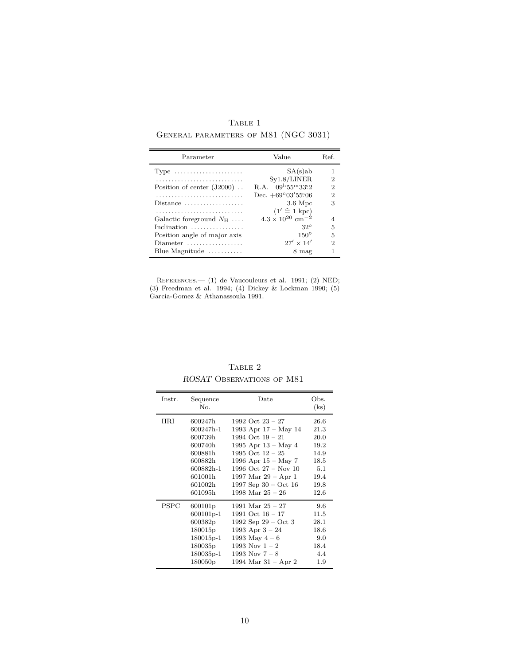${\rm Table}$  1 General parameters of M81 (NGC 3031)

| Parameter                                            | Value                                  | Ref. |
|------------------------------------------------------|----------------------------------------|------|
| Type $\dots\dots\dots\dots\dots\dots\dots\dots\dots$ | SA(s)ab                                |      |
|                                                      | Syl.8/LINER                            | 2    |
| Position of center $(J2000)$                         | R.A. $09^{\rm h}55^{\rm m}33^{\rm s}2$ | 2    |
|                                                      | Dec. $+69^{\circ}03'55506$             | 2    |
| $Distance \dots \dots \dots \dots \dots \dots$       | $3.6\;\mathrm{Mpc}$                    | 3    |
|                                                      | $(1' \hat{=} 1 \text{ kpc})$           |      |
| Galactic foreground $N_{\rm H}$                      | $4.3 \times 10^{20}$ cm <sup>-2</sup>  |      |
| Inclination                                          | $32^{\circ}$                           | 5    |
| Position angle of major axis                         | $150^\circ$                            | 5    |
| Diameter                                             | $27' \times 14'$                       | 2    |
| Blue Magnitude $\dots\dots\dots$                     | 8 mag                                  |      |

References.— (1) de Vaucouleurs et al. 1991; (2) NED; (3) Freedman et al. 1994; (4) Dickey & Lockman 1990; (5) Garcia-Gomez & Athanassoula 1991.

| Instr. | Sequence            | Date                          | Obs. |
|--------|---------------------|-------------------------------|------|
|        | No.                 |                               | (ks) |
| HRI    | 600247h             | 1992 Oct $23 - 27$            | 26.6 |
|        | 600247h-1           | 1993 Apr 17 – May 14          | 21.3 |
|        | 600739h             | 1994 Oct $19 - 21$            | 20.0 |
|        | 600740h             | 1995 Apr $13 - May 4$         | 19.2 |
|        | 600881h             | 1995 Oct $12 - 25$            | 14.9 |
|        | 600882h             | 1996 Apr $15 - \text{May } 7$ | 18.5 |
|        | 600882h-1           | 1996 Oct 27 – Nov 10          | 5.1  |
|        | 601001h             | 1997 Mar $29 - Apr 1$         | 19.4 |
|        | 601002h             | 1997 Sep $30 - Oct$ 16        | 19.8 |
|        | 601095h             | 1998 Mar $25 - 26$            | 12.6 |
| PSPC   | 600101 <sub>p</sub> | 1991 Mar $25 - 27$            | 9.6  |
|        | 600101p-1           | 1991 Oct $16 - 17$            | 11.5 |
|        | 600382p             | 1992 Sep $29 - Oct 3$         | 28.1 |
|        | 180015 <sub>p</sub> | 1993 Apr $3 - 24$             | 18.6 |
|        | $180015p-1$         | 1993 May $4-6$                | 9.0  |
|        | 180035p             | 1993 Nov $1 - 2$              | 18.4 |
|        | 180035p-1           | 1993 Nov $7 - 8$              | 4.4  |
|        | 180050p             | 1994 Mar $31 -$ Apr 2         | 1.9  |

TABLE  $2\,$ ROSAT OBSERVATIONS OF M81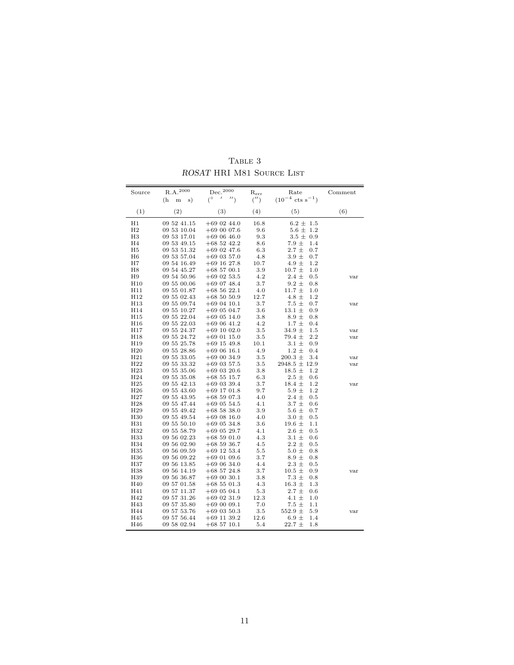| Source          | $\rm R.A.^{2000}$      | $\begin{aligned} \text{Dec.}^{2000}\qquad \quad \  \text{R}_{\text{err}} \end{aligned}$ |         | Rate                           | Comment |
|-----------------|------------------------|-----------------------------------------------------------------------------------------|---------|--------------------------------|---------|
|                 | s)<br>(h)<br>${\bf m}$ | $(° - ' '')$                                                                            | (''')   | $(10^{-4} \text{ cts s}^{-1})$ |         |
| (1)             | (2)                    | (3)                                                                                     | (4)     | (5)                            | (6)     |
| H1              | 09 52 41.15            | $+69$ 02 44.0                                                                           | 16.8    | $6.2 \pm 1.5$                  |         |
| H <sub>2</sub>  | 09 53 10.04            | $+690007.6$                                                                             | 9.6     | $5.6 \pm$<br>1.2               |         |
| H3              | 09 53 17.01            | $+690646.0$                                                                             | 9.3     | $3.5 \pm 0.9$                  |         |
| H <sub>4</sub>  | 09 53 49.15            | $+685242.2$                                                                             | 8.6     | 7.9 $\pm$<br>1.4               |         |
| H5              | 09 53 51.32            | $+69$ 02 47.6                                                                           | 6.3     | $2.7 \pm$<br>0.7               |         |
| H <sub>6</sub>  | 09 53 57.04            | $+69$ 03 57.0                                                                           | 4.8     | $3.9 \pm$<br>0.7               |         |
| H7              | 09 54 16.49            | $+69$ 16 27.8                                                                           | 10.7    | 4.9 $\pm$<br>1.2               |         |
| H8              | 09 54 45.27            | $+68$ 57 00.1                                                                           | 3.9     | $10.7 \pm$<br>1.0              |         |
| H9              | 09 54 50.96            | $+69$ 02 53.5                                                                           | 4.2     | $2.4 \pm$<br>0.5               | var     |
| H10             | 09 55 00.06            | $+69$ 07 48.4                                                                           | 3.7     | $9.2 \pm$<br>0.8               |         |
| H11             | 09 55 01.87            | $+685622.1$                                                                             | 4.0     | $11.7 \pm$<br>1.0              |         |
| H12             | 09 55 02.43            | $+685050.9$                                                                             | 12.7    | $4.8 \pm$<br>1.2               |         |
| H13             | 09 55 09.74            | $+69$ 04 10.1                                                                           | 3.7     | $7.5\pm$<br>0.7                | var     |
| H14             | 09 55 10.27            | $+69$ 05 04.7                                                                           | 3.6     | $13.1 \pm$<br>0.9              |         |
| H <sub>15</sub> | 09 55 22.04            | $+69$ 05 14.0                                                                           | 3.8     | 8.9 $\pm$<br>0.8               |         |
| H <sub>16</sub> | 09 55 22.03            | $+690641.2$                                                                             | 4.2     | $1.7~\pm$<br>0.4               |         |
| H17             | 09 55 24.37            | $+69$ 10 02.0                                                                           | 3.5     | $34.9 \pm$<br>1.5              | var     |
| H <sub>18</sub> | 09 55 24.72            | $+69$ 01 15.0                                                                           | $3.5\,$ | 2.2<br>$79.4 \pm$              | var     |
| H19             | 09 55 25.78            | $+69$ 15 49.8                                                                           | 10.1    | $3.1 \pm$<br>0.9               |         |
| H <sub>20</sub> | 09 55 28.86            | $+690616.1$                                                                             | 4.9     | $1.2 \pm$<br>0.4               |         |
| H <sub>21</sub> | 09 55 33.05            | $+690034.9$                                                                             | 3.5     | $200.3 \pm$<br>3.4             | var     |
| H <sub>22</sub> | 09 55 33.32            | $+69$ 03 57.5                                                                           | 3.5     | $2948.5 \pm 12.9$              | var     |
| H <sub>23</sub> | 09 55 35.06            | $+69$ 03 20.6                                                                           | 3.8     | $18.5 \pm$<br>1.2              |         |
| H <sub>24</sub> | 09 55 35.08            | $+68$ 55 15.7                                                                           | 6.3     | $2.5\pm$<br>0.6                |         |
| H <sub>25</sub> | 09 55 42.13            | $+69$ 03 39.4                                                                           | 3.7     | $18.4 \pm$<br>1.2              | var     |
| H <sub>26</sub> | 09 55 43.60            | $+69$ 17 01.8                                                                           | 9.7     | 5.9 $\pm$<br>$1.2\,$           |         |
| H <sub>27</sub> | 09 55 43.95            | $+685907.3$                                                                             | 4.0     | $2.4 \pm$<br>0.5               |         |
| H <sub>28</sub> | 09 55 47.44            | $+69$ 05 54.5                                                                           | 4.1     | $3.7 \pm$<br>0.6               |         |
| H <sub>29</sub> | 09 55 49.42            | $+685838.0$                                                                             | 3.9     | $5.6\pm$<br>0.7                |         |
| H <sub>30</sub> | 09 55 49.54            | $+690816.0$                                                                             | 4.0     | $3.0 \pm$<br>0.5               |         |
| H31             | 09 55 50.10            | $+69$ 05 34.8                                                                           | 3.6     | 19.6 $\pm$<br>1.1              |         |
| H32             | 09 55 58.79            | $+69$ 05 29.7                                                                           | 4.1     | $2.6 \pm$<br>0.5               |         |
| H33             | 09 56 02.23            | $+685901.0$                                                                             | 4.3     | $3.1 \pm$<br>0.6               |         |
| H34             | 09 56 02.90            | $+685936.7$                                                                             | 4.5     | $2.2 \pm$<br>0.5               |         |
| H <sub>35</sub> | 09 56 09.59            | $+69$ 12 53.4                                                                           | 5.5     | $5.0 \pm$<br>0.8               |         |
| H <sub>36</sub> | 09 56 09.22            | $+69$ 01 09.6                                                                           | 3.7     | $8.9 \pm$<br>0.8               |         |
| H37             | 09 56 13.85            | $+690634.0$                                                                             | 4.4     | $2.3 \pm$<br>0.5               |         |
| H <sub>38</sub> | 09 56 14.19            | $+68$ 57 24.8                                                                           | 3.7     | $10.5 \pm$<br>0.9              | var     |
| H39             | 09 56 36.87            | $+690030.1$                                                                             | 3.8     | $7.3 \pm$<br>0.8               |         |
| H40             | 09 57 01.58            | $+68$ 55 01.3                                                                           | 4.3     | 16.3 $\pm$<br>1.3              |         |
| H41             | 09 57 11.37            | $+69$ 05 04.1                                                                           | 5.3     | $2.7 \pm$<br>0.6               |         |
| H42             | 09 57 31.26            | $+69$ 02 31.9                                                                           | 12.3    | $4.1 \pm$<br>1.0               |         |
| H43             | 09 57 35.80            | $+690009.1$                                                                             | 7.0     | 7.5 $\pm$<br>1.1               |         |
| H44             | 09 57 53.76            | $+69$ 03 50.3                                                                           | $3.5\,$ | 552.9 $\pm$<br>5.9             | var     |
| H45             | 09 57 56.44            | $+69$ 11 39.2                                                                           | 12.6    | 6.9 $\pm$<br>1.4               |         |
| H46             | 09 58 02.94            | $+68$ 57 10.1                                                                           | 5.4     | $22.7 +$<br>1.8                |         |

TABLE  $3$ ROSAT HRI M81 Source List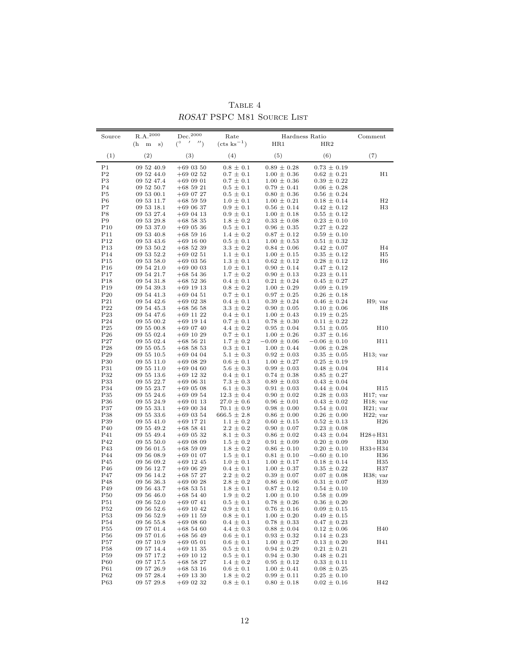| Source                             | $\rm R.A.^{2000}$                          | Dec. <sup>2000</sup>                                | Rate                             | Hardness Ratio                     |                                    | Comment                        |
|------------------------------------|--------------------------------------------|-----------------------------------------------------|----------------------------------|------------------------------------|------------------------------------|--------------------------------|
| (1)                                | (h<br>s)<br>${\bf m}$<br>$\left( 2\right)$ | $^{\prime}$ $^{\prime\prime}$ )<br>$(^\circ$<br>(3) | $(\text{cts ks}^{-1})$<br>(4)    | HR1<br>(5)                         | HR2<br>(6)                         | (7)                            |
|                                    |                                            |                                                     |                                  |                                    |                                    |                                |
| P <sub>1</sub>                     | 09 52 40.9                                 | $+690350$                                           | $0.8 \pm 0.1$                    | $0.89 \pm 0.28$                    | $0.73 \pm 0.19$                    |                                |
| P <sub>2</sub><br>P3               | 09 52 44.0<br>09 52 47.4                   | $+69$ 02 52<br>$+690901$                            | $0.7 \pm 0.1$<br>$0.7 \pm 0.1$   | $1.00 \pm 0.36$<br>$1.00 \pm 0.36$ | $0.62 \pm 0.21$<br>$0.39 \pm 0.22$ | H1                             |
| P <sub>4</sub>                     | 09 52 50.7                                 | $+685921$                                           | $0.5 \pm 0.1$                    | $0.79 \pm 0.41$                    | $0.06 \pm 0.28$                    |                                |
| P5                                 | 09 53 00.1                                 | $+690727$                                           | $0.5 \pm 0.1$                    | $0.80 \pm 0.36$                    | $0.56 \pm 0.24$                    |                                |
| P6                                 | 09 53 11.7                                 | $+685959$                                           | $1.0 \pm 0.1$                    | $1.00 \pm 0.21$                    | $0.18 \pm 0.14$                    | $_{\rm H2}$                    |
| P7                                 | 09 53 18.1                                 | $+690637$                                           | $0.9 \pm 0.1$                    | $0.56 \pm 0.14$                    | $0.42 \pm 0.12$                    | H <sub>3</sub>                 |
| P8                                 | 09 53 27.4                                 | $+690413$                                           | $0.9 \pm 0.1$                    | $1.00 \pm 0.18$                    | $0.55 \pm 0.12$                    |                                |
| P9                                 | 09 53 29.8                                 | $+685835$                                           | $1.8 \pm 0.2$                    | $0.33 \pm 0.08$                    | $0.23 \pm 0.10$                    |                                |
| P10<br>P <sub>11</sub>             | 09 53 37.0<br>09 53 40.8                   | $+69$ 05 36<br>$+685916$                            | $0.5 \pm 0.1$<br>$1.4 \pm 0.2$   | $0.96 \pm 0.35$<br>$0.87 \pm 0.12$ | $0.27 \pm 0.22$<br>$0.59 \pm 0.10$ |                                |
| P12                                | 09 53 43.6                                 | $+69$ 16 00                                         | $0.5 \pm 0.1$                    | $1.00 \pm 0.53$                    | $0.51 \pm 0.32$                    |                                |
| P <sub>13</sub>                    | 09 53 50.2                                 | $+685239$                                           | $3.3 \pm 0.2$                    | $0.84 \pm 0.06$                    | $0.42 \pm 0.07$                    | H4                             |
| P <sub>14</sub>                    | 09 53 52.2                                 | $+690251$                                           | $1.1 \pm 0.1$                    | $1.00 \pm 0.15$                    | $0.35 \pm 0.12$                    | H5                             |
| P15                                | 09 53 58.0                                 | $+690356$                                           | $1.3 \pm 0.1$                    | $0.62 \pm 0.12$                    | $0.28 \pm 0.12$                    | H6                             |
| P16                                | 09 54 21.0                                 | $+690003$                                           | $1.0 \pm 0.1$                    | $0.90 \pm 0.14$                    | $0.47 \pm 0.12$                    |                                |
| P17                                | 09 54 21.7                                 | $+685436$                                           | $1.7 \pm 0.2$                    | $0.90 \pm 0.13$                    | $0.23 \pm 0.11$                    |                                |
| P <sub>18</sub>                    | 09 54 31.8                                 | $+685236$                                           | $0.4 \pm 0.1$                    | $0.21 \pm 0.24$                    | $0.45 \pm 0.27$                    |                                |
| P19<br>$P_{20}$                    | 09 54 39.3<br>09 54 41.3                   | $+69$ 19 13<br>$+690451$                            | $0.8 \pm 0.2$<br>$0.7 \pm 0.1$   | $1.00 \pm 0.29$<br>$0.97 \pm 0.25$ | $0.09 \pm 0.19$<br>$0.26 \pm 0.18$ |                                |
| P <sub>21</sub>                    | 09 54 42.6                                 | $+69$ 02 38                                         | $0.4 \pm 0.1$                    | $0.39 \pm 0.24$                    | $0.46 \pm 0.24$                    | H9; var                        |
| P <sub>22</sub>                    | 09 54 45.3                                 | $+685658$                                           | $3.3 \pm 0.2$                    | $0.90 \pm 0.05$                    | $0.10 \pm 0.06$                    | H8                             |
| P <sub>23</sub>                    | 09 54 47.6                                 | $+69$ 11 22                                         | $0.4 \pm 0.1$                    | $1.00 \pm 0.43$                    | $0.19 \pm 0.25$                    |                                |
| P <sub>24</sub>                    | 09 55 00.2                                 | $+69$ 19 14                                         | $0.7 \pm 0.1$                    | $0.78 \pm 0.30$                    | $0.11 \pm 0.22$                    |                                |
| P <sub>25</sub>                    | 09 55 00.8                                 | $+69$ 07 40                                         | $4.4 \pm 0.2$                    | $0.95 \pm 0.04$                    | $0.51 \pm 0.05$                    | H10                            |
| $P_{26}$                           | 09 55 02.4                                 | $+69$ 10 29                                         | $0.7 \pm 0.1$                    | $1.00 \pm 0.26$                    | $0.37 \pm 0.16$                    |                                |
| P27                                | 09 55 02.4                                 | $+685621$                                           | $1.7 \pm 0.2$                    | $-0.09 \pm 0.06$                   | $-0.06 \pm 0.10$                   | H11                            |
| P <sub>28</sub>                    | 09 55 05.5                                 | $+685853$<br>$+690404$                              | $0.3 \pm 0.1$                    | $1.00 \pm 0.44$                    | $0.06 \pm 0.28$                    |                                |
| P <sub>29</sub><br>P <sub>30</sub> | 09 55 10.5<br>09 55 11.0                   | $+690829$                                           | $5.1 \pm 0.3$<br>$0.6 \pm 0.1$   | $0.92 \pm 0.03$<br>$1.00 \pm 0.27$ | $0.35 \pm 0.05$<br>$0.25 \pm 0.19$ | $H13$ ; var                    |
| P31                                | 09 55 11.0                                 | $+690460$                                           | $5.6 \pm 0.3$                    | $0.99 \pm 0.03$                    | $0.48 \pm 0.04$                    | H14                            |
| P32                                | 09 55 13.6                                 | $+69$ 12 32                                         | $0.4 \pm 0.1$                    | $0.74 \pm 0.38$                    | $0.85 \pm 0.27$                    |                                |
| P33                                | 09 55 22.7                                 | $+69$ 06 31                                         | $7.3 \pm 0.3$                    | $0.89 \pm 0.03$                    | $0.43 \pm 0.04$                    |                                |
| P34                                | 09 55 23.7                                 | $+690508$                                           | $6.1 \pm 0.3$                    | $0.91 \pm 0.03$                    | $0.44 \pm 0.04$                    | H <sub>15</sub>                |
| P <sub>35</sub>                    | 09 55 24.6                                 | $+690954$                                           | $12.3 \pm 0.4$                   | $0.90 \pm 0.02$                    | $0.28 \pm 0.03$                    | H17; var                       |
| P <sub>36</sub>                    | 09 55 24.9                                 | $+69$ 01 13                                         | $27.0 \pm 0.6$                   | $0.96 \pm 0.01$                    | $0.43 \pm 0.02$                    | $H18$ ; var                    |
| P37                                | 09 55 33.1                                 | $+690034$                                           | $70.1 \pm 0.9$                   | $0.98 \pm 0.00$                    | $0.54 \pm 0.01$                    | $H21$ ; var                    |
| P38<br>P39                         | 09 55 33.6<br>09 55 41.0                   | $+69$ 03 54<br>$+69$ 17 21                          | $666.5 \pm 2.8$<br>$1.1 \pm 0.2$ | $0.86 \pm 0.00$<br>$0.60 \pm 0.15$ | $0.26 \pm 0.00$<br>$0.52 \pm 0.13$ | $H22$ ; var<br>H <sub>26</sub> |
| P40                                | 09 55 49.2                                 | $+68$ 58 41                                         | $2.2 \pm 0.2$                    | $0.90 \pm 0.07$                    | $0.23 \pm 0.08$                    |                                |
| P41                                | 09 55 49.4                                 | $+69$ 05 32                                         | $8.1 \pm 0.3$                    | $0.86 \pm 0.02$                    | $0.43 \pm 0.04$                    | $H28 + H31$                    |
| P42                                | 09 55 50.0                                 | $+690809$                                           | $1.5 \pm 0.2$                    | $0.91 \pm 0.09$                    | $0.20 \pm 0.09$                    | H <sub>30</sub>                |
| P43                                | 09 56 01.5                                 | $+685909$                                           | $1.8 \pm 0.2$                    | $0.86 \pm 0.10$                    | $0.20 \pm 0.10$                    | H33+H34                        |
| P44                                | 09 56 08.9                                 | $+690107$                                           | $1.5 \pm 0.1$                    | $0.81 \pm 0.10$                    | $-0.60 \pm 0.10$                   | H36                            |
| P45                                | 09 56 09.2                                 | $+69$ 12 45                                         | $1.0 \pm 0.1$                    | $1.00 \pm 0.17$                    | $0.18 \pm 0.14$                    | H <sub>35</sub>                |
| P46                                | 09 56 12.7<br>09 56 14.2                   | $+690629$                                           | $0.4 \pm 0.1$                    | $1.00 \pm 0.37$                    | $0.35 \pm 0.22$                    | H37                            |
| P47<br>P48                         | 09 56 36.3                                 | $+685727$<br>$+690028$                              | $2.2 \pm 0.2$<br>$2.8 \pm 0.2$   | $0.39 \pm 0.07$<br>$0.86 \pm 0.06$ | $0.07 \pm 0.08$<br>$0.31 \pm 0.07$ | $H38$ ; var<br>H39             |
| P49                                | 09 56 43.7                                 | $+685351$                                           | $1.8 \pm 0.1$                    | $0.87 \pm 0.12$                    | $0.54 \pm 0.10$                    |                                |
| P50                                | 09 56 46.0                                 | $+685440$                                           | $1.9 \pm 0.2$                    | $1.00 \pm 0.10$                    | $0.58 \pm 0.09$                    |                                |
| P51                                | 09 56 52.0                                 | $+690741$                                           | $0.5 \pm 0.1$                    | $0.78 \pm 0.26$                    | $0.36 \pm 0.20$                    |                                |
| P52                                | 09 56 52.6                                 | $+69$ 10 42                                         | $0.9\,\pm\,0.1$                  | $0.76 \pm 0.16$                    | $0.09 \pm 0.15$                    |                                |
| P <sub>53</sub>                    | 09 56 52.9                                 | $+69$ 11 59                                         | $0.8 \pm 0.1$                    | $1.00 \pm 0.20$                    | $0.49 \pm 0.15$                    |                                |
| P54                                | 09 56 55.8                                 | $+690860$                                           | $0.4 \pm 0.1$                    | $0.78 \pm 0.33$                    | $0.47 \pm 0.23$                    |                                |
| P <sub>55</sub>                    | 09 57 01.4                                 | $+685460$                                           | $4.4 \pm 0.3$                    | $0.88 \pm 0.04$                    | $0.12 \pm 0.06$                    | H40                            |
| P56                                | 09 57 01.6                                 | $+685649$                                           | $0.6 \pm 0.1$                    | $0.93 \pm 0.32$                    | $0.14 \pm 0.23$                    |                                |
| P57<br>P <sub>58</sub>             | 09 57 10.9<br>09 57 14.4                   | $+69$ 05 01<br>$+69$ 11 35                          | $0.6 \pm 0.1$<br>$0.5 \pm 0.1$   | $1.00 \pm 0.27$<br>$0.94 \pm 0.29$ | $0.13 \pm 0.20$<br>$0.21 \pm 0.21$ | H41                            |
| P <sub>59</sub>                    | 09 57 17.2                                 | $+69$ 10 12                                         | $0.5 \pm 0.1$                    | $0.94 \pm 0.30$                    | $0.48 \pm 0.21$                    |                                |
| P60                                | 09 57 17.5                                 | $+685827$                                           | $1.4 \pm 0.2$                    | $0.95 \pm 0.12$                    | $0.33 \pm 0.11$                    |                                |
| P61                                | 09 57 26.9                                 | $+685316$                                           | $0.6 \pm 0.1$                    | $1.00 \pm 0.41$                    | $0.08 \pm 0.25$                    |                                |
| P62                                | 09 57 28.4                                 | $+69$ 13 30                                         | $1.8 \pm 0.2$                    | $0.99 \pm 0.11$                    | $0.25 \pm 0.10$                    |                                |
| P63                                | 09 57 29.8                                 | $+69$ 02 32                                         | $0.8 \pm 0.1$                    | $0.80 \pm 0.18$                    | $0.02 \pm 0.16$                    | H42                            |

Table 4 ROSAT PSPC M81 Source List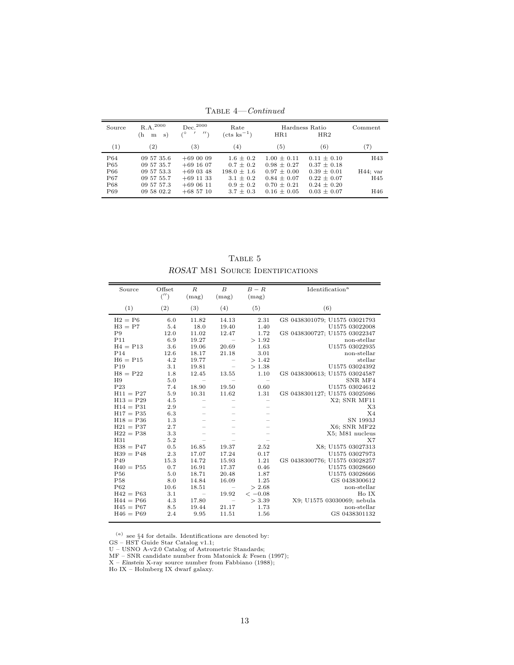| Source          | $R.A.^{2000}$<br>(h<br>m<br>s) | $Dec.^{2000}$<br>$\prime$<br>0 | Rate<br>$(\text{cts ks}^{-1})$ | HR1             | Hardness Ratio<br>HR2 | Comment     |
|-----------------|--------------------------------|--------------------------------|--------------------------------|-----------------|-----------------------|-------------|
| (1)             | $\left( 2\right)$              | $\left( 3\right)$              | $^{(4)}$                       | (5)             | (6)                   | (7)         |
| P <sub>64</sub> | 09 57 35.6                     | $+690009$                      | $1.6 \pm 0.2$                  | $1.00 + 0.11$   | $0.11 \pm 0.10$       | H43         |
| P65             | 09 57 35.7                     | $+69$ 16 07                    | $0.7 \pm 0.2$                  | $0.98 \pm 0.27$ | $0.37 \pm 0.18$       |             |
| P <sub>66</sub> | 09 57 53.3                     | $+690348$                      | $198.0 \pm 1.6$                | $0.97 + 0.00$   | $0.39 + 0.01$         | $H44$ ; var |
| P67             | 09 57 55.7                     | $+69$ 11 33                    | $3.1 \pm 0.2$                  | $0.84 \pm 0.07$ | $0.22 \pm 0.07$       | H45         |
| P <sub>68</sub> | 09 57 57.3                     | $+690611$                      | $0.9 \pm 0.2$                  | $0.70 + 0.21$   | $0.24 \pm 0.20$       | H46         |
| P <sub>69</sub> | 09 58 02.2                     | $+685710$                      | $3.7 \pm 0.3$                  | $0.16 + 0.05$   | $0.03 \pm 0.07$       |             |

Table 4—Continued

TABLE  $5$ ROSAT M81 SOURCE IDENTIFICATIONS

| Source          | Offset<br>('') | $\boldsymbol{R}$<br>(mag)                                                 | $\boldsymbol{B}$<br>(mag)    | $B-R$<br>(mag)           | Identification <sup>a</sup>   |
|-----------------|----------------|---------------------------------------------------------------------------|------------------------------|--------------------------|-------------------------------|
| (1)             | (2)            | (3)                                                                       | (4)                          | (5)                      | (6)                           |
| $H2 = P6$       | 6.0            | 11.82                                                                     | 14.13                        | 2.31                     | GS 0438301079; U1575 03021793 |
| $H3 = P7$       | 5.4            | 18.0                                                                      | 19.40                        | 1.40                     | U1575 03022008                |
| P9              | 12.0           | 11.02                                                                     | 12.47                        | 1.72                     | GS 0438300727; U1575 03022347 |
| P11             | 6.9            | 19.27                                                                     | $\overline{\phantom{m}}$     | >1.92                    | non-stellar                   |
| $H4 = P13$      | 3.6            | 19.06                                                                     | 20.69                        | 1.63                     | U1575 03022935                |
| P <sub>14</sub> | 12.6           | 18.17                                                                     | 21.18                        | 3.01                     | non-stellar                   |
| $H6 = P15$      | 4.2            | 19.77                                                                     |                              | >1.42                    | stellar                       |
| P <sub>19</sub> | 3.1            | 19.81                                                                     | $\qquad \qquad -$            | >1.38                    | U1575 03024392                |
| $H8 = P22$      | 1.8            | 12.45                                                                     | 13.55                        | 1.10                     | GS 0438300613; U1575 03024587 |
| H9              | 5.0            | $\hspace{1.0cm} \rule{1.5cm}{0.15cm} \hspace{1.0cm} \rule{1.5cm}{0.15cm}$ | $\overbrace{\qquad \qquad }$ |                          | SNR MF4                       |
| P <sub>23</sub> | 7.4            | 18.90                                                                     | 19.50                        | 0.60                     | U1575 03024612                |
| $H11 = P27$     | 5.9            | 10.31                                                                     | 11.62                        | 1.31                     | GS 0438301127; U1575 03025086 |
| $H13 = P29$     | 4.5            |                                                                           |                              | $\overline{\phantom{m}}$ | X2; SNR MF11                  |
| $H14 = P31$     | 2.9            |                                                                           |                              | $\overline{\phantom{0}}$ | X3                            |
| $H17 = P35$     | 6.3            |                                                                           |                              |                          | X <sub>4</sub>                |
| $H18 = P36$     | 1.3            |                                                                           |                              |                          | SN 1993J                      |
| $H21 = P37$     | 2.7            |                                                                           |                              |                          | X6: SNR MF22                  |
| $H22 = P38$     | 3.3            |                                                                           |                              |                          | X5; M81 nucleus               |
| H31             | 5.2            |                                                                           |                              |                          | X7                            |
| $H38 = P47$     | 0.5            | 16.85                                                                     | 19.37                        | 2.52                     | X8; U1575 03027313            |
| $H39 = P48$     | 2.3            | 17.07                                                                     | 17.24                        | 0.17                     | U1575 03027973                |
| P49             | 15.3           | 14.72                                                                     | 15.93                        | 1.21                     | GS 0438300776; U1575 03028257 |
| $H40 = P55$     | 0.7            | 16.91                                                                     | 17.37                        | 0.46                     | U1575 03028660                |
| P <sub>56</sub> | 5.0            | 18.71                                                                     | 20.48                        | 1.87                     | U1575 03028666                |
| P <sub>58</sub> | 8.0            | 14.84                                                                     | 16.09                        | 1.25                     | GS 0438300612                 |
| P62             | 10.6           | 18.51                                                                     | $\qquad \qquad -$            | > 2.68                   | non-stellar                   |
| $H42 = P63$     | 3.1            | $\overline{\phantom{m}}$                                                  | 19.92                        | $<-0.08$                 | Ho IX                         |
| $H44 = P66$     | 4.3            | 17.80                                                                     | $\overline{\phantom{m}}$     | > 3.39                   | X9; U1575 03030069; nebula    |
| $H45 = P67$     | 8.5            | 19.44                                                                     | 21.17                        | 1.73                     | non-stellar                   |
| $H46 = P69$     | 2.4            | 9.95                                                                      | 11.51                        | 1.56                     | GS 0438301132                 |

 $(a)$  see §4 for details. Identifications are denoted by:

GS – HST Guide Star Catalog v1.1;<br>U – USNO A-v2.0 Catalog of Astrometric Standards;<br>MF – SNR candidate number from Matonick & Fesen (1997);<br>X – Einstein X-ray source number from Fabbiano (1988);<br>Ho IX – Holmberg IX dwarf g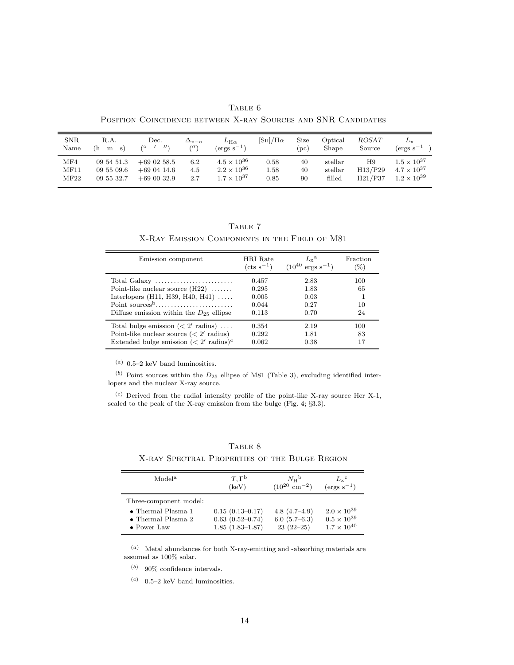TABLE 6 Position Coincidence between X-ray Sources and SNR Candidates

| <b>SNR</b><br>Name | R.A.<br>(h<br>m s) | Dec.<br>$^{\prime\prime}$<br>70 | $\Delta_{\rm x-o}$<br>(11) | $L_{\rm H\alpha}$<br>$(\text{ergs s}^{-1})$ | $\left[\mathrm{S\scriptstyle{II}}\right]/\mathrm{H}\alpha$ | Size<br>$^{\prime}$ DC) | $\rm{Optical}$<br>Shape | ROSAT<br>Source | $L_{\rm x}$<br>$(\text{ergs s}^{-1})$ |
|--------------------|--------------------|---------------------------------|----------------------------|---------------------------------------------|------------------------------------------------------------|-------------------------|-------------------------|-----------------|---------------------------------------|
| MF4                | 09 54 51.3         | $+69$ 02 58.5                   | 6.2                        | $4.5 \times 10^{36}$                        | 0.58                                                       | 40                      | stellar                 | Η9              | $1.5 \times 10^{37}$                  |
| MF11               | 09 55 09.6         | $+69.0414.6$                    | 4.5                        | $2.2 \times 10^{36}$                        | 1.58                                                       | 40                      | stellar                 | H13/P29         | $4.7 \times 10^{37}$                  |
| $\rm{MF}22$        | 09 55 32.7         | $+690032.9$                     | 2.7                        | $1.7 \times 10^{37}$                        | 0.85                                                       | 90                      | filled                  | H21/P37         | $1.2 \times 10^{39}$                  |

TABLE 7 X-Ray Emission Components in the Field of M81

| Emission component                                                                                                                        | HRI Rate<br>$(\text{cts s}^{-1})$         | $L_{v}^{\mathrm{a}}$<br>$(10^{40}$<br>$ergs s^{-1}$ | Fraction<br>$(\%)$    |
|-------------------------------------------------------------------------------------------------------------------------------------------|-------------------------------------------|-----------------------------------------------------|-----------------------|
| Point-like nuclear source $(H22)$<br>Interlopers $(H11, H39, H40, H41)$<br>Diffuse emission within the $D_{25}$ ellipse                   | 0.457<br>0.295<br>0.005<br>0.044<br>0.113 | 2.83<br>1.83<br>0.03<br>0.27<br>0.70                | 100<br>65<br>10<br>24 |
| Total bulge emission $(< 2'$ radius)<br>Point-like nuclear source $(< 2'$ radius)<br>Extended bulge emission $(< 2'$ radius) <sup>c</sup> | 0.354<br>0.292<br>0.062                   | 2.19<br>1.81<br>0.38                                | 100<br>83<br>17       |

 $(a)$  0.5–2 keV band luminosities.

 $(b)$  Point sources within the  $D_{25}$  ellipse of M81 (Table 3), excluding identified interlopers and the nuclear X-ray source.

 $(c)$  Derived from the radial intensity profile of the point-like X-ray source Her X-1, scaled to the peak of the X-ray emission from the bulge (Fig. 4; §3.3).

| Model <sup>a</sup>         | $T,\Gamma^{\rm b}$  | $N_{\rm H}$ <sup>b</sup>    | $L_{\rm x}$ <sup>c</sup> |
|----------------------------|---------------------|-----------------------------|--------------------------|
|                            | (keV)               | $(10^{20} \text{ cm}^{-2})$ | $(\text{ergs s}^{-1})$   |
| Three-component model:     |                     |                             |                          |
| $\bullet$ Thermal Plasma 1 | $0.15(0.13 - 0.17)$ | $4.8(4.7-4.9)$              | $2.0 \times 10^{39}$     |
| $\bullet$ Thermal Plasma 2 | $0.63(0.52 - 0.74)$ | 6.0(5.7–6.3)                | $0.5 \times 10^{39}$     |
| $\bullet$ Power Law        | $1.85(1.83-1.87)$   | $23(22-25)$                 | $1.7 \times 10^{40}$     |

TABLE 8 X-ray Spectral Properties of the Bulge Region

 $(a)$  Metal abundances for both X-ray-emitting and -absorbing materials are assumed as 100% solar.

 $(b)$  90% confidence intervals.

 $\left( \begin{matrix} c) & 0.5–2 \end{matrix} \right.$  keV band luminosities.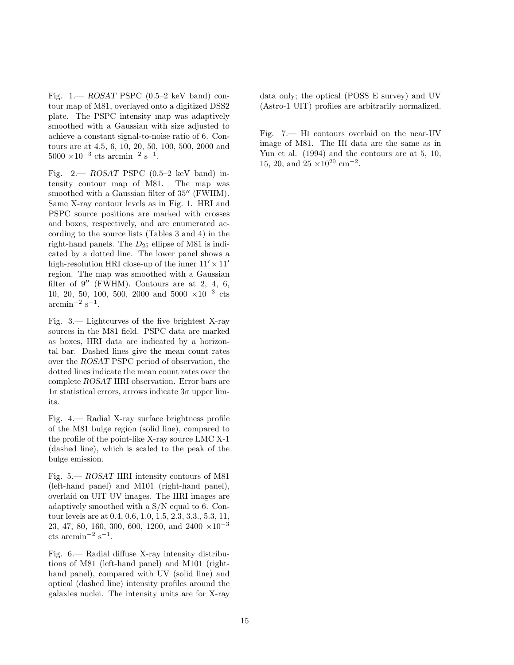Fig.  $1 - ROSAT$  PSPC (0.5-2 keV band) contour map of M81, overlayed onto a digitized DSS2 plate. The PSPC intensity map was adaptively smoothed with a Gaussian with size adjusted to achieve a constant signal-to-noise ratio of 6. Contours are at 4.5, 6, 10, 20, 50, 100, 500, 2000 and  $5000 \times 10^{-3}$  cts arcmin<sup>-2</sup> s<sup>-1</sup>.

Fig.  $2 - ROSAT$  PSPC (0.5-2 keV band) intensity contour map of M81. The map was smoothed with a Gaussian filter of 35" (FWHM). Same X-ray contour levels as in Fig. 1. HRI and PSPC source positions are marked with crosses and boxes, respectively, and are enumerated according to the source lists (Tables 3 and 4) in the right-hand panels. The  $D_{25}$  ellipse of M81 is indicated by a dotted line. The lower panel shows a high-resolution HRI close-up of the inner  $11' \times 11'$ region. The map was smoothed with a Gaussian filter of  $9''$  (FWHM). Contours are at 2, 4, 6, 10, 20, 50, 100, 500, 2000 and 5000 ×10−<sup>3</sup> cts  $\arcsin^{-2}$  s<sup>-1</sup>.

Fig. 3.— Lightcurves of the five brightest X-ray sources in the M81 field. PSPC data are marked as boxes, HRI data are indicated by a horizontal bar. Dashed lines give the mean count rates over the ROSAT PSPC period of observation, the dotted lines indicate the mean count rates over the complete ROSAT HRI observation. Error bars are  $1\sigma$  statistical errors, arrows indicate  $3\sigma$  upper limits.

Fig. 4.— Radial X-ray surface brightness profile of the M81 bulge region (solid line), compared to the profile of the point-like X-ray source LMC X-1 (dashed line), which is scaled to the peak of the bulge emission.

Fig. 5.— ROSAT HRI intensity contours of M81 (left-hand panel) and M101 (right-hand panel), overlaid on UIT UV images. The HRI images are adaptively smoothed with a S/N equal to 6. Contour levels are at 0.4, 0.6, 1.0, 1.5, 2.3, 3.3., 5.3, 11, 23, 47, 80, 160, 300, 600, 1200, and 2400  $\times 10^{-3}$  $\text{cts arcmin}^{-2} \text{ s}^{-1}.$ 

Fig. 6.— Radial diffuse X-ray intensity distributions of M81 (left-hand panel) and M101 (righthand panel), compared with UV (solid line) and optical (dashed line) intensity profiles around the galaxies nuclei. The intensity units are for X-ray data only; the optical (POSS E survey) and UV (Astro-1 UIT) profiles are arbitrarily normalized.

Fig. 7.— HI contours overlaid on the near-UV image of M81. The HI data are the same as in Yun et al. (1994) and the contours are at 5, 10, 15, 20, and  $25 \times 10^{20}$  cm<sup>-2</sup>.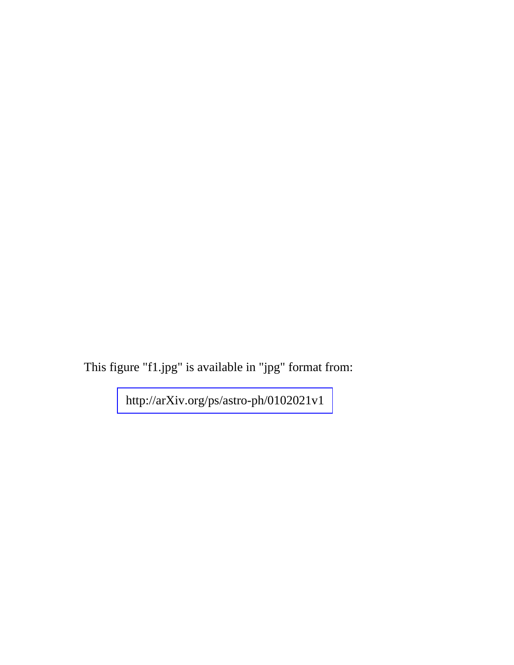This figure "f1.jpg" is available in "jpg" format from: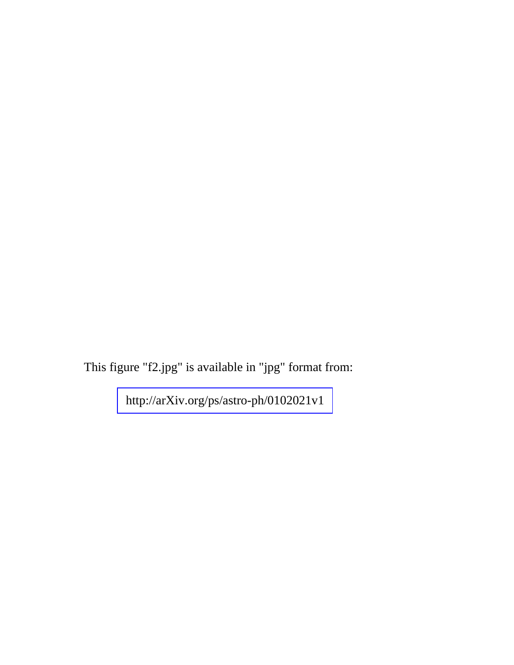This figure "f2.jpg" is available in "jpg" format from: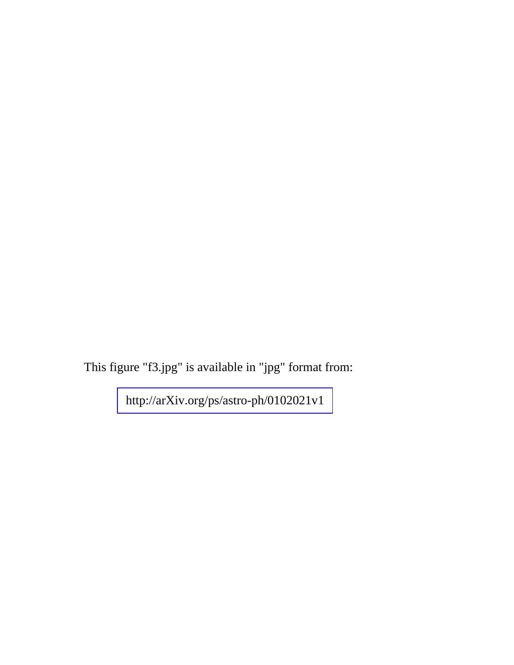This figure "f3.jpg" is available in "jpg" format from: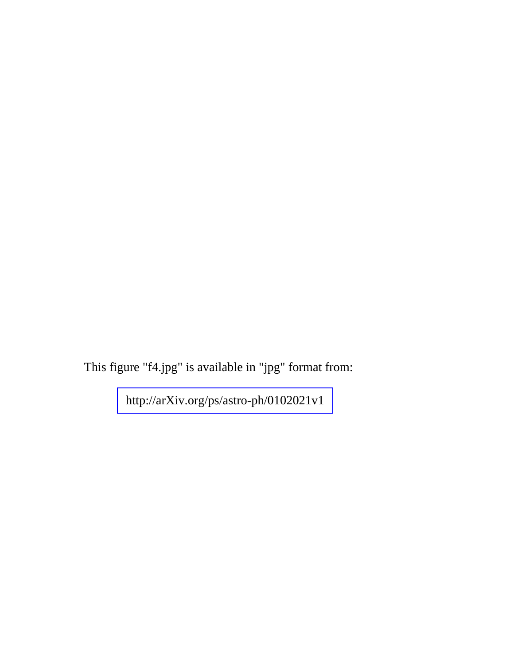This figure "f4.jpg" is available in "jpg" format from: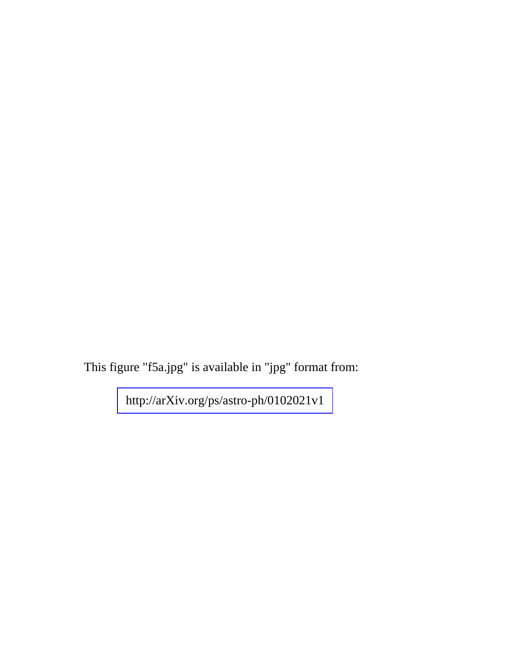This figure "f5a.jpg" is available in "jpg" format from: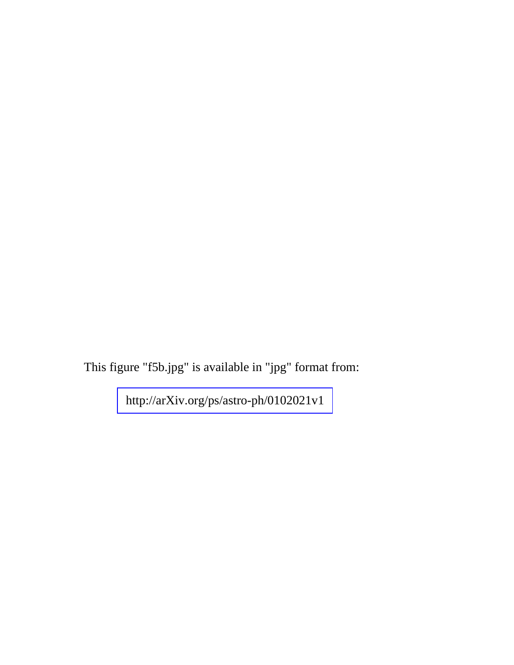This figure "f5b.jpg" is available in "jpg" format from: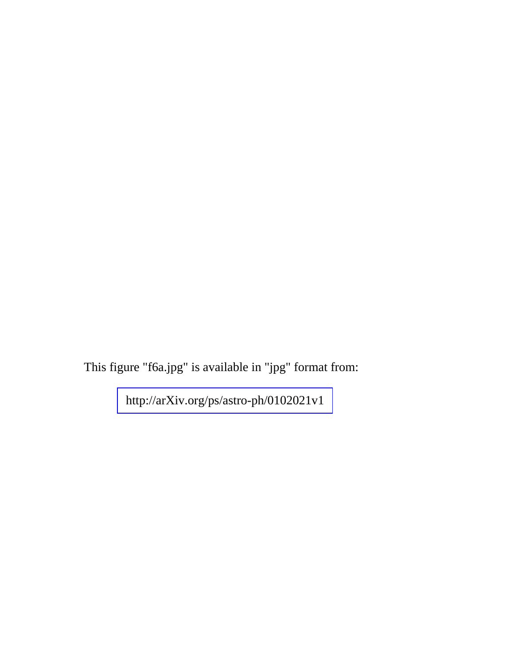This figure "f6a.jpg" is available in "jpg" format from: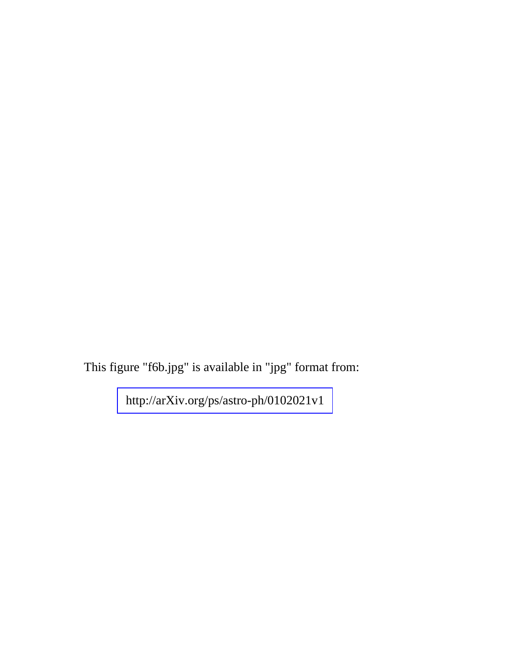This figure "f6b.jpg" is available in "jpg" format from: